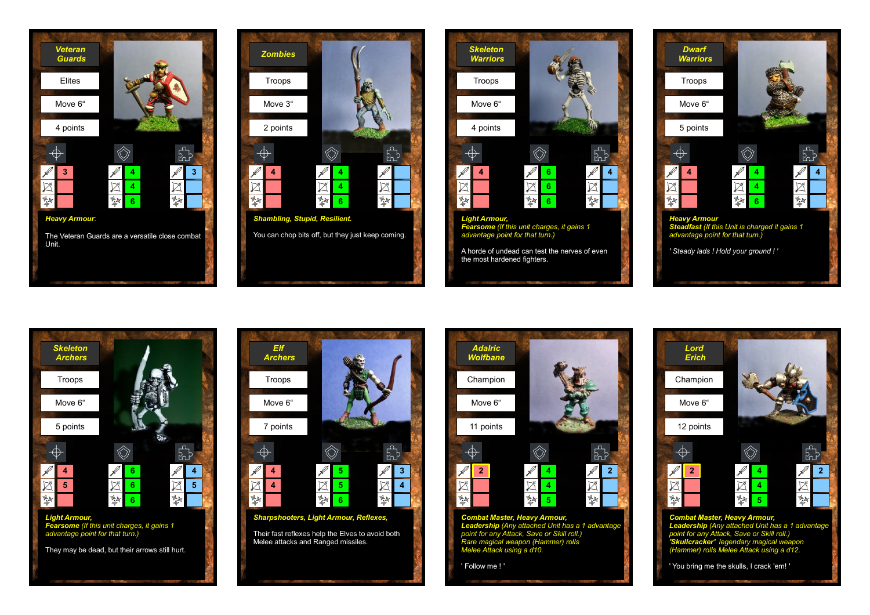



![](_page_0_Picture_2.jpeg)

![](_page_0_Picture_3.jpeg)

![](_page_0_Figure_4.jpeg)

![](_page_0_Picture_5.jpeg)

![](_page_0_Figure_6.jpeg)

![](_page_0_Figure_7.jpeg)

' You bring me the skulls, I crack 'em! '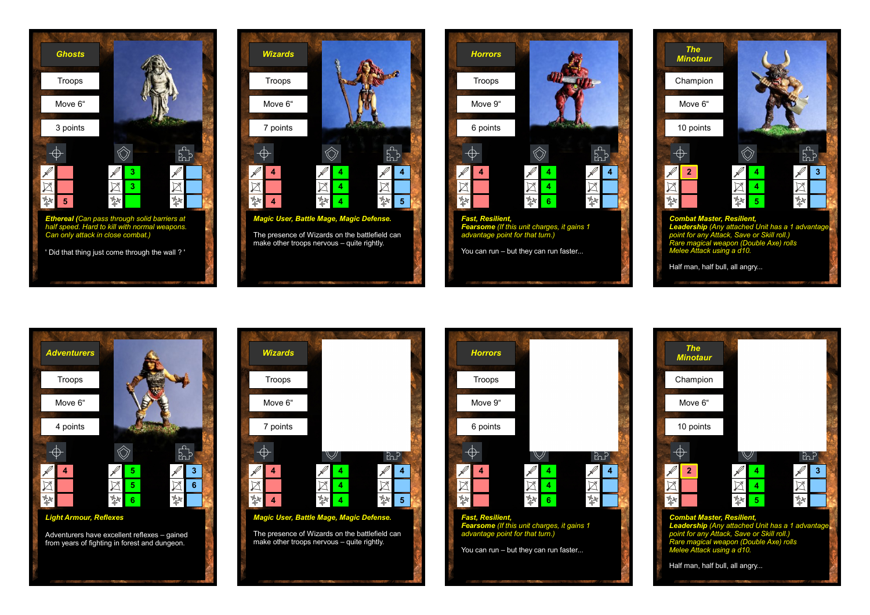![](_page_1_Picture_0.jpeg)

![](_page_1_Picture_1.jpeg)

![](_page_1_Picture_2.jpeg)

![](_page_1_Picture_3.jpeg)

![](_page_1_Picture_4.jpeg)

![](_page_1_Figure_5.jpeg)

![](_page_1_Picture_6.jpeg)

**4 5**

 $\hat{\heartsuit}$ 

 $\boxtimes$ 

繁

 $E_{\rm p}^{\rm p}$ 

 $\boxtimes$ 

繁